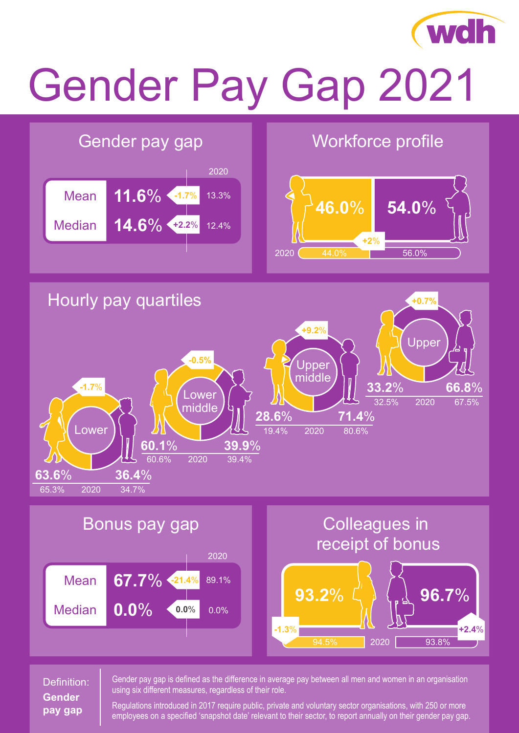

# Gender Pay Gap 2021



## Definition: **Gender pay gap**

Gender pay gap is defined as the difference in average pay between all men and women in an organisation using six different measures, regardless of their role.

Regulations introduced in 2017 require public, private and voluntary sector organisations, with 250 or more employees on a specified 'snapshot date' relevant to their sector, to report annually on their gender pay gap.